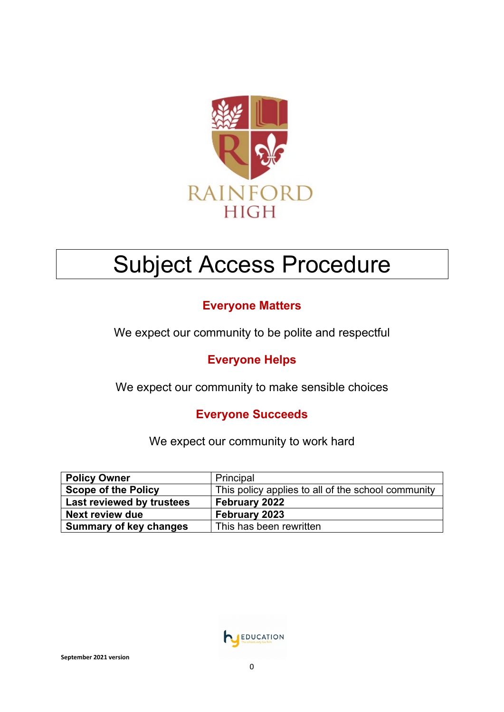

# Subject Access Procedure

## **Everyone Matters**

We expect our community to be polite and respectful

## **Everyone Helps**

We expect our community to make sensible choices

### **Everyone Succeeds**

We expect our community to work hard

| <b>Policy Owner</b>           | Principal                                          |
|-------------------------------|----------------------------------------------------|
| <b>Scope of the Policy</b>    | This policy applies to all of the school community |
| Last reviewed by trustees     | February 2022                                      |
| Next review due               | <b>February 2023</b>                               |
| <b>Summary of key changes</b> | This has been rewritten                            |

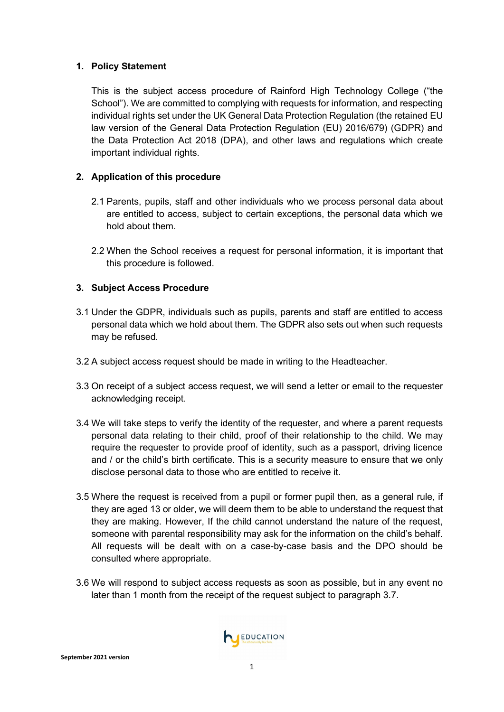#### **1. Policy Statement**

This is the subject access procedure of Rainford High Technology College ("the School"). We are committed to complying with requests for information, and respecting individual rights set under the UK General Data Protection Regulation (the retained EU law version of the General Data Protection Regulation (EU) 2016/679) (GDPR) and the Data Protection Act 2018 (DPA), and other laws and regulations which create important individual rights.

#### **2. Application of this procedure**

- 2.1 Parents, pupils, staff and other individuals who we process personal data about are entitled to access, subject to certain exceptions, the personal data which we hold about them.
- 2.2 When the School receives a request for personal information, it is important that this procedure is followed.

#### **3. Subject Access Procedure**

- 3.1 Under the GDPR, individuals such as pupils, parents and staff are entitled to access personal data which we hold about them. The GDPR also sets out when such requests may be refused.
- 3.2 A subject access request should be made in writing to the Headteacher.
- 3.3 On receipt of a subject access request, we will send a letter or email to the requester acknowledging receipt.
- 3.4 We will take steps to verify the identity of the requester, and where a parent requests personal data relating to their child, proof of their relationship to the child. We may require the requester to provide proof of identity, such as a passport, driving licence and / or the child's birth certificate. This is a security measure to ensure that we only disclose personal data to those who are entitled to receive it.
- 3.5 Where the request is received from a pupil or former pupil then, as a general rule, if they are aged 13 or older, we will deem them to be able to understand the request that they are making. However, If the child cannot understand the nature of the request, someone with parental responsibility may ask for the information on the child's behalf. All requests will be dealt with on a case-by-case basis and the DPO should be consulted where appropriate.
- <span id="page-1-0"></span>3.6 We will respond to subject access requests as soon as possible, but in any event no later than 1 month from the receipt of the request subject to paragraph [3.7.](#page-2-0)

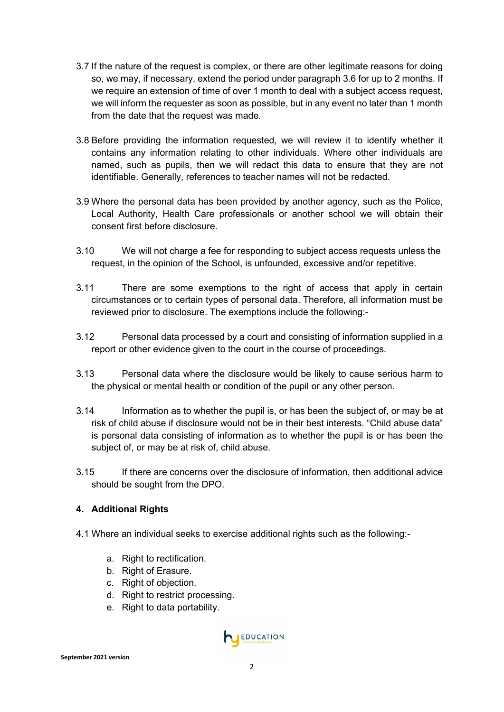- <span id="page-2-0"></span>3.7 If the nature of the request is complex, or there are other legitimate reasons for doing so, we may, if necessary, extend the period under paragraph [3.6](#page-1-0) for up to 2 months. If we require an extension of time of over 1 month to deal with a subject access request, we will inform the requester as soon as possible, but in any event no later than 1 month from the date that the request was made.
- 3.8 Before providing the information requested, we will review it to identify whether it contains any information relating to other individuals. Where other individuals are named, such as pupils, then we will redact this data to ensure that they are not identifiable. Generally, references to teacher names will not be redacted.
- 3.9 Where the personal data has been provided by another agency, such as the Police, Local Authority, Health Care professionals or another school we will obtain their consent first before disclosure.
- 3.10 We will not charge a fee for responding to subject access requests unless the request, in the opinion of the School, is unfounded, excessive and/or repetitive.
- 3.11 There are some exemptions to the right of access that apply in certain circumstances or to certain types of personal data. Therefore, all information must be reviewed prior to disclosure. The exemptions include the following:-
- 3.12 Personal data processed by a court and consisting of information supplied in a report or other evidence given to the court in the course of proceedings.
- 3.13 Personal data where the disclosure would be likely to cause serious harm to the physical or mental health or condition of the pupil or any other person.
- 3.14 Information as to whether the pupil is, or has been the subject of, or may be at risk of child abuse if disclosure would not be in their best interests. "Child abuse data" is personal data consisting of information as to whether the pupil is or has been the subject of, or may be at risk of, child abuse.
- 3.15 If there are concerns over the disclosure of information, then additional advice should be sought from the DPO.

#### **4. Additional Rights**

- 4.1 Where an individual seeks to exercise additional rights such as the following:
	- a. Right to rectification.
	- b. Right of Erasure.
	- c. Right of objection.
	- d. Right to restrict processing.
	- e. Right to data portability.